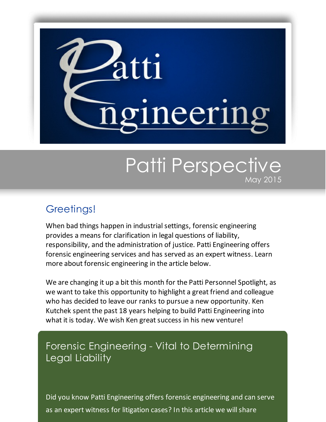

# Patti Perspective May 2015

### Greetings!

When bad things happen in industrial settings, forensic engineering provides a means for clarification in legal questions of liability, responsibility, and the administration of justice. Patti Engineering offers forensic engineering services and has served as an expert witness. Learn more about forensic engineering in the article below.

We are changing it up a bit this month for the Patti Personnel Spotlight, as we want to take this opportunity to highlight a great friend and colleague who has decided to leave our ranks to pursue a new opportunity. Ken Kutchek spent the past 18 years helping to build Patti Engineering into what it is today. We wish Ken great success in his new venture!

### Forensic Engineering - Vital to Determining Legal Liability

Did you know Patti Engineering offers forensic engineering and can serve as an expert witness for litigation cases? In this article we will share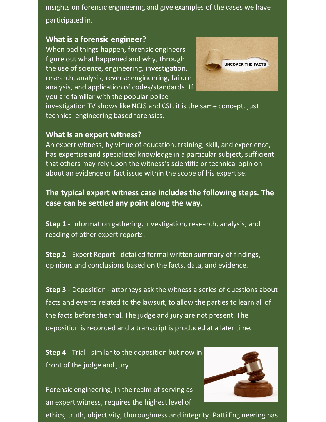insights on forensic engineering and give examples of the cases we have participated in.

#### **What is a forensic engineer?**

When bad things happen, forensic engineers figure out what happened and why, through the use of science, engineering, investigation, research, analysis, reverse engineering, failure analysis, and application of codes/standards. If you are familiar with the popular police



investigation TV shows like NCIS and CSI, it is the same concept, just technical engineering based forensics.

#### **What is an expert witness?**

An expert witness, by virtue of education, training, skill, and experience, has expertise and specialized knowledge in a particular subject, sufficient that others may rely upon the witness's scientific or technical opinion about an evidence or fact issue within the scope of his expertise.

#### **The typical expert witness case includes the following steps. The case can be settled any point along the way.**

**Step 1** - Information gathering, investigation, research, analysis, and reading of other expert reports.

**Step 2** - Expert Report - detailed formal written summary of findings, opinions and conclusions based on the facts, data, and evidence.

**Step 3** - Deposition - attorneys ask the witness a series of questions about facts and events related to the lawsuit, to allow the parties to learn all of the facts before the trial. The judge and jury are not present. The deposition is recorded and a transcript is produced at a later time.

**Step 4** - Trial - similar to the deposition but now in front of the judge and jury.

Forensic engineering, in the realm of serving as an expert witness, requires the highest level of



ethics, truth, objectivity, thoroughness and integrity. Patti Engineering has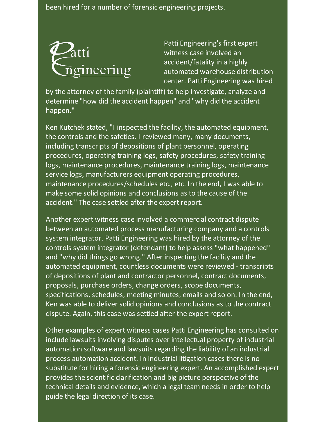been hired for a number of forensic engineering projects.



Patti Engineering's first expert witness case involved an accident/fatality in a highly automated warehouse distribution center. Patti Engineering was hired

by the attorney of the family (plaintiff) to help investigate, analyze and determine "how did the accident happen" and "why did the accident happen."

Ken Kutchek stated, "I inspected the facility, the automated equipment, the controls and the safeties. I reviewed many, many documents, including transcripts of depositions of plant personnel, operating procedures, operating training logs, safety procedures, safety training logs, maintenance procedures, maintenance training logs, maintenance service logs, manufacturers equipment operating procedures, maintenance procedures/schedules etc., etc. In the end, I was able to make some solid opinions and conclusions as to the cause of the accident." The case settled after the expert report.

Another expert witness case involved a commercial contract dispute between an automated process manufacturing company and a controls system integrator. Patti Engineering was hired by the attorney of the controls system integrator (defendant) to help assess "what happened" and "why did things go wrong." After inspecting the facility and the automated equipment, countless documents were reviewed - transcripts of depositions of plant and contractor personnel, contract documents, proposals, purchase orders, change orders, scope documents, specifications, schedules, meeting minutes, emails and so on. In the end, Ken was able to deliver solid opinions and conclusions as to the contract dispute. Again, this case was settled after the expert report.

Other examples of expert witness cases Patti Engineering has consulted on include lawsuits involving disputes over intellectual property of industrial automation software and lawsuits regarding the liability of an industrial process automation accident. In industrial litigation cases there is no substitute for hiring a forensic engineering expert. An accomplished expert provides the scientific clarification and big picture perspective of the technical details and evidence, which a legal team needs in order to help guide the legal direction of its case.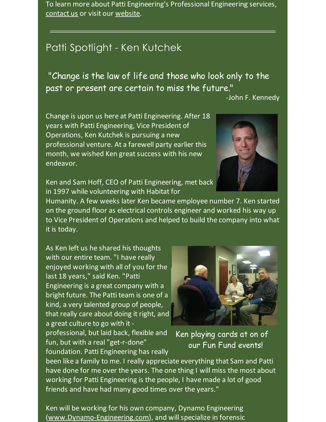To learn more about Patti Engineering's Professional Engineering services, [contact](http://pattiengineering.com/contact/?utm_source=Patti+Perspective_May_2015&utm_campaign=Newsletter+May+2015&utm_medium=email) us or visit our [website](http://pattiengineering.com/expertise/professional-engineering-services/?utm_source=Patti+Perspective_May_2015&utm_campaign=Newsletter+May+2015&utm_medium=email).

### Patti Spotlight - Ken Kutchek

"Change is the law of life and those who look only to the past or present are certain to miss the future."

-John F. Kennedy

Change is upon us here at Patti Engineering. After 18 years with Patti Engineering, Vice President of Operations, Ken Kutchek is pursuing a new professional venture. At a farewell party earlier this month, we wished Ken great success with his new endeavor.



Ken and Sam Hoff, CEO of Patti Engineering, met back in 1997 while volunteering with Habitat for

Humanity. A few weeks later Ken became employee number 7. Ken started on the ground floor as electrical controls engineer and worked his way up to Vice President of Operations and helped to build the company into what it is today.

As Ken left us he shared his thoughts with our entire team. "I have really enjoyed working with all of you for the last 18 years," said Ken. "Patti Engineering is a great company with a bright future. The Patti team is one of a kind, a very talented group of people, that really care about doing it right, and a great culture to go with it -

professional, but laid back, flexible and fun, but with a real"get-r-done" foundation. Patti Engineering has really



Ken playing cards at on of our Fun Fund events!

been like a family to me. I really appreciate everything that Sam and Patti have done for me over the years. The one thing I will miss the most about working for Patti Engineering is the people, I have made a lot of good friends and have had many good times over the years."

Ken will be working for his own company, Dynamo Engineering [\(www.Dynamo-Engineering.com](http://www.dynamo-engineering.com/?utm_source=Patti+Perspective_May_2015&utm_campaign=Newsletter+May+2015&utm_medium=email)), and will specialize in forensic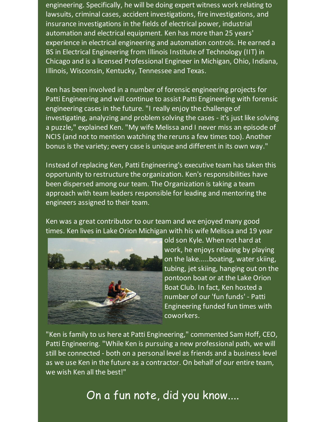engineering. Specifically, he will be doing expert witness work relating to lawsuits, criminal cases, accident investigations, fire investigations, and insurance investigations in the fields of electrical power, industrial automation and electrical equipment. Ken has more than 25 years' experience in electrical engineering and automation controls. He earned a BS in Electrical Engineering from Illinois Institute of Technology (IIT) in Chicago and is a licensed Professional Engineer in Michigan, Ohio, Indiana, Illinois, Wisconsin, Kentucky, Tennessee and Texas.

Ken has been involved in a number of forensic engineering projects for Patti Engineering and will continue to assist Patti Engineering with forensic engineering cases in the future. "I really enjoy the challenge of investigating, analyzing and problem solving the cases - it's just like solving a puzzle," explained Ken. "My wife Melissa and I never miss an episode of NCIS (and not to mention watching the reruns a few times too). Another bonus is the variety; every case is unique and different in its own way."

Instead of replacing Ken, Patti Engineering's executive team has taken this opportunity to restructure the organization. Ken's responsibilities have been dispersed among our team. The Organization is taking a team approach with team leaders responsible for leading and mentoring the engineers assigned to their team.

Ken was a great contributor to our team and we enjoyed many good times. Ken lives in Lake Orion Michigan with his wife Melissa and 19 year



old son Kyle. When not hard at work, he enjoys relaxing by playing on the lake.....boating, water skiing, tubing, jet skiing, hanging out on the pontoon boat or at the Lake Orion Boat Club. In fact, Ken hosted a number of our 'fun funds' - Patti Engineering funded fun times with coworkers.

"Ken is family to us here at Patti Engineering," commented Sam Hoff, CEO, Patti Engineering. "While Ken is pursuing a new professional path, we will still be connected - both on a personal level as friends and a business level as we use Ken in the future as a contractor. On behalf of our entire team, we wish Ken all the best!"

## On a fun note, did you know....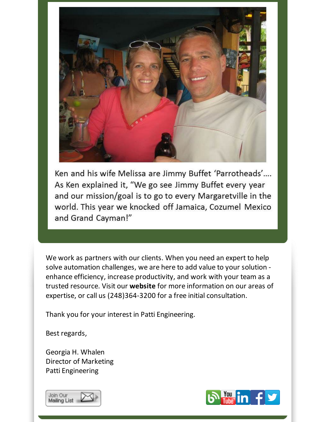

Ken and his wife Melissa are Jimmy Buffet 'Parrotheads'.... As Ken explained it, "We go see Jimmy Buffet every year and our mission/goal is to go to every Margaretville in the world. This year we knocked off Jamaica, Cozumel Mexico and Grand Cayman!"

We work as partners with our clients. When you need an expert to help solve automation challenges, we are here to add value to your solution enhance efficiency, increase productivity, and work with your team as a trusted resource. Visit our **[website](http://www.pattieng.com/expertise.html?utm_source=Patti+Perspective_May_2015&utm_campaign=Newsletter+May+2015&utm_medium=email)** for more information on our areas of expertise, or call us (248)364-3200 for a free initial consultation.

Thank you for your interest in Patti Engineering.

Best regards,

Georgia H. Whalen Director of Marketing Patti Engineering